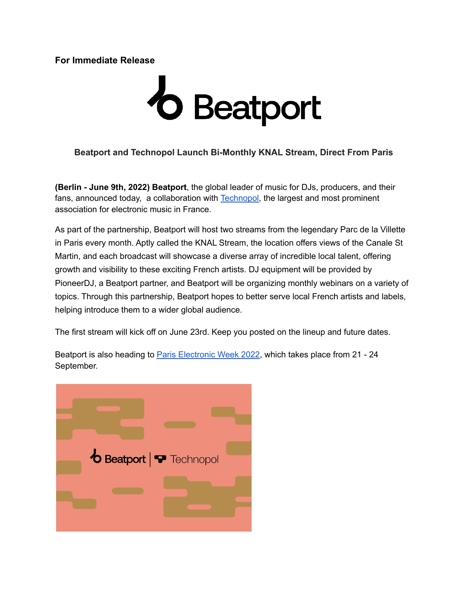# **For Immediate Release**

# **b** Beatport

# **Beatport and Technopol Launch Bi-Monthly KNAL Stream, Direct From Paris**

**(Berlin - June 9th, 2022) Beatport**, the global leader of music for DJs, producers, and their fans, announced today, a collaboration with [Technopol,](https://www.technopol.net/) the largest and most prominent association for electronic music in France.

As part of the partnership, Beatport will host two streams from the legendary Parc de la Villette in Paris every month. Aptly called the KNAL Stream, the location offers views of the Canale St Martin, and each broadcast will showcase a diverse array of incredible local talent, offering growth and visibility to these exciting French artists. DJ equipment will be provided by PioneerDJ, a Beatport partner, and Beatport will be organizing monthly webinars on a variety of topics. Through this partnership, Beatport hopes to better serve local French artists and labels, helping introduce them to a wider global audience.

The first stream will kick off on June 23rd. Keep you posted on the lineup and future dates.

Beatport is also heading to Paris [Electronic](https://www.pariselectronicweek.com/) Week 2022, which takes place from 21 - 24 September.